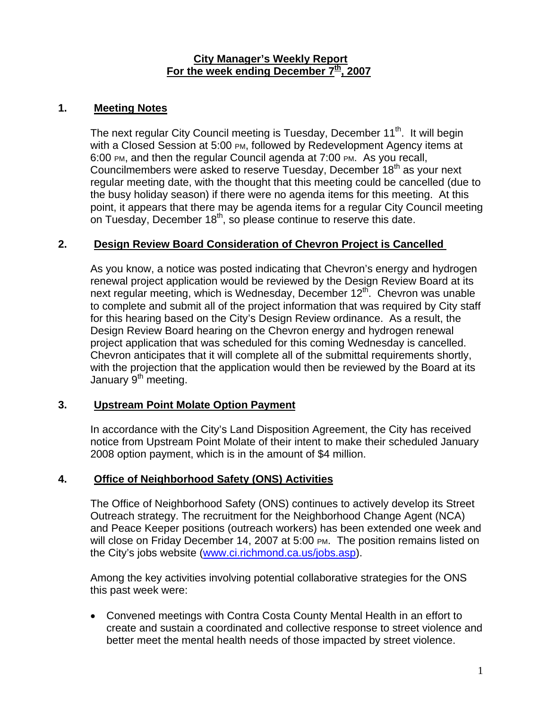#### **City Manager's Weekly Report** For the week ending December 7<sup>th</sup>, 2007

#### **1. Meeting Notes**

The next regular City Council meeting is Tuesday, December 11<sup>th</sup>. It will begin with a Closed Session at 5:00 PM, followed by Redevelopment Agency items at 6:00 PM, and then the regular Council agenda at 7:00 PM. As you recall, Councilmembers were asked to reserve Tuesday, December  $18<sup>th</sup>$  as your next regular meeting date, with the thought that this meeting could be cancelled (due to the busy holiday season) if there were no agenda items for this meeting. At this point, it appears that there may be agenda items for a regular City Council meeting on Tuesday, December  $18<sup>th</sup>$ , so please continue to reserve this date.

## **2. Design Review Board Consideration of Chevron Project is Cancelled**

As you know, a notice was posted indicating that Chevron's energy and hydrogen renewal project application would be reviewed by the Design Review Board at its next regular meeting, which is Wednesday, December 12<sup>th</sup>. Chevron was unable to complete and submit all of the project information that was required by City staff for this hearing based on the City's Design Review ordinance. As a result, the Design Review Board hearing on the Chevron energy and hydrogen renewal project application that was scheduled for this coming Wednesday is cancelled. Chevron anticipates that it will complete all of the submittal requirements shortly, with the projection that the application would then be reviewed by the Board at its January  $9<sup>th</sup>$  meeting.

#### **3. Upstream Point Molate Option Payment**

In accordance with the City's Land Disposition Agreement, the City has received notice from Upstream Point Molate of their intent to make their scheduled January 2008 option payment, which is in the amount of \$4 million.

#### **4. Office of Neighborhood Safety (ONS) Activities**

The Office of Neighborhood Safety (ONS) continues to actively develop its Street Outreach strategy. The recruitment for the Neighborhood Change Agent (NCA) and Peace Keeper positions (outreach workers) has been extended one week and will close on Friday December 14, 2007 at 5:00 PM. The position remains listed on the City's jobs website [\(www.ci.richmond.ca.us/jobs.asp\)](http://www.ci.richmond.ca.us/jobs.asp).

Among the key activities involving potential collaborative strategies for the ONS this past week were:

• Convened meetings with Contra Costa County Mental Health in an effort to create and sustain a coordinated and collective response to street violence and better meet the mental health needs of those impacted by street violence.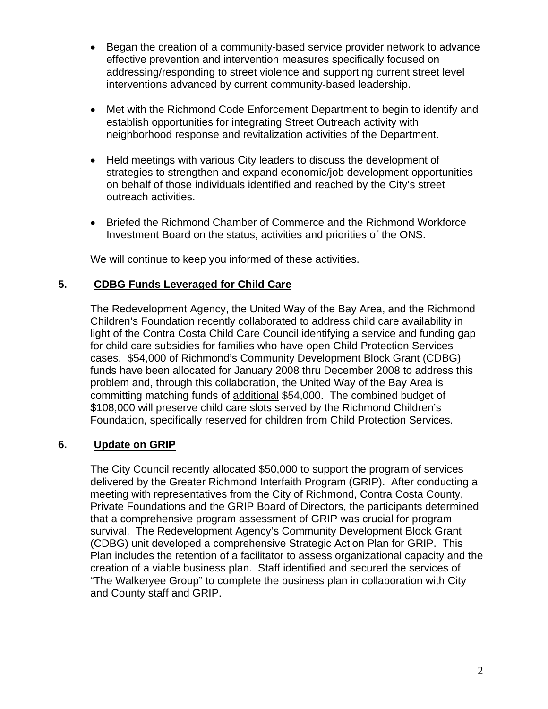- Began the creation of a community-based service provider network to advance effective prevention and intervention measures specifically focused on addressing/responding to street violence and supporting current street level interventions advanced by current community-based leadership.
- Met with the Richmond Code Enforcement Department to begin to identify and establish opportunities for integrating Street Outreach activity with neighborhood response and revitalization activities of the Department.
- Held meetings with various City leaders to discuss the development of strategies to strengthen and expand economic/job development opportunities on behalf of those individuals identified and reached by the City's street outreach activities.
- Briefed the Richmond Chamber of Commerce and the Richmond Workforce Investment Board on the status, activities and priorities of the ONS.

We will continue to keep you informed of these activities.

## **5. CDBG Funds Leveraged for Child Care**

The Redevelopment Agency, the United Way of the Bay Area, and the Richmond Children's Foundation recently collaborated to address child care availability in light of the Contra Costa Child Care Council identifying a service and funding gap for child care subsidies for families who have open Child Protection Services cases. \$54,000 of Richmond's Community Development Block Grant (CDBG) funds have been allocated for January 2008 thru December 2008 to address this problem and, through this collaboration, the United Way of the Bay Area is committing matching funds of additional \$54,000. The combined budget of \$108,000 will preserve child care slots served by the Richmond Children's Foundation, specifically reserved for children from Child Protection Services.

## **6. Update on GRIP**

The City Council recently allocated \$50,000 to support the program of services delivered by the Greater Richmond Interfaith Program (GRIP). After conducting a meeting with representatives from the City of Richmond, Contra Costa County, Private Foundations and the GRIP Board of Directors, the participants determined that a comprehensive program assessment of GRIP was crucial for program survival. The Redevelopment Agency's Community Development Block Grant (CDBG) unit developed a comprehensive Strategic Action Plan for GRIP. This Plan includes the retention of a facilitator to assess organizational capacity and the creation of a viable business plan. Staff identified and secured the services of "The Walkeryee Group" to complete the business plan in collaboration with City and County staff and GRIP.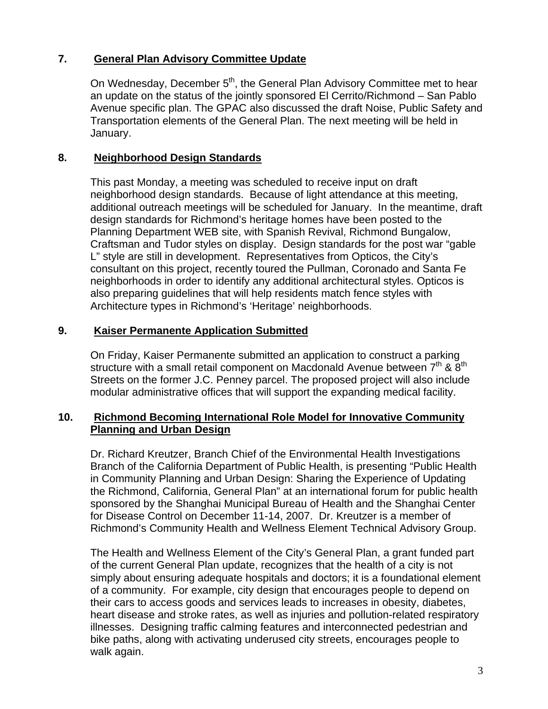## **7. General Plan Advisory Committee Update**

On Wednesday, December 5<sup>th</sup>, the General Plan Advisory Committee met to hear an update on the status of the jointly sponsored El Cerrito/Richmond – San Pablo Avenue specific plan. The GPAC also discussed the draft Noise, Public Safety and Transportation elements of the General Plan. The next meeting will be held in January.

## **8. Neighborhood Design Standards**

This past Monday, a meeting was scheduled to receive input on draft neighborhood design standards. Because of light attendance at this meeting, additional outreach meetings will be scheduled for January. In the meantime, draft design standards for Richmond's heritage homes have been posted to the Planning Department WEB site, with Spanish Revival, Richmond Bungalow, Craftsman and Tudor styles on display. Design standards for the post war "gable L" style are still in development. Representatives from Opticos, the City's consultant on this project, recently toured the Pullman, Coronado and Santa Fe neighborhoods in order to identify any additional architectural styles. Opticos is also preparing guidelines that will help residents match fence styles with Architecture types in Richmond's 'Heritage' neighborhoods.

## **9. Kaiser Permanente Application Submitted**

On Friday, Kaiser Permanente submitted an application to construct a parking structure with a small retail component on Macdonald Avenue between  $7<sup>th</sup>$  &  $8<sup>th</sup>$ Streets on the former J.C. Penney parcel. The proposed project will also include modular administrative offices that will support the expanding medical facility.

## **10. Richmond Becoming International Role Model for Innovative Community Planning and Urban Design**

Dr. Richard Kreutzer, Branch Chief of the Environmental Health Investigations Branch of the California Department of Public Health, is presenting "Public Health in Community Planning and Urban Design: Sharing the Experience of Updating the Richmond, California, General Plan" at an international forum for public health sponsored by the Shanghai Municipal Bureau of Health and the Shanghai Center for Disease Control on December 11-14, 2007. Dr. Kreutzer is a member of Richmond's Community Health and Wellness Element Technical Advisory Group.

The Health and Wellness Element of the City's General Plan, a grant funded part of the current General Plan update, recognizes that the health of a city is not simply about ensuring adequate hospitals and doctors; it is a foundational element of a community. For example, city design that encourages people to depend on their cars to access goods and services leads to increases in obesity, diabetes, heart disease and stroke rates, as well as injuries and pollution-related respiratory illnesses. Designing traffic calming features and interconnected pedestrian and bike paths, along with activating underused city streets, encourages people to walk again.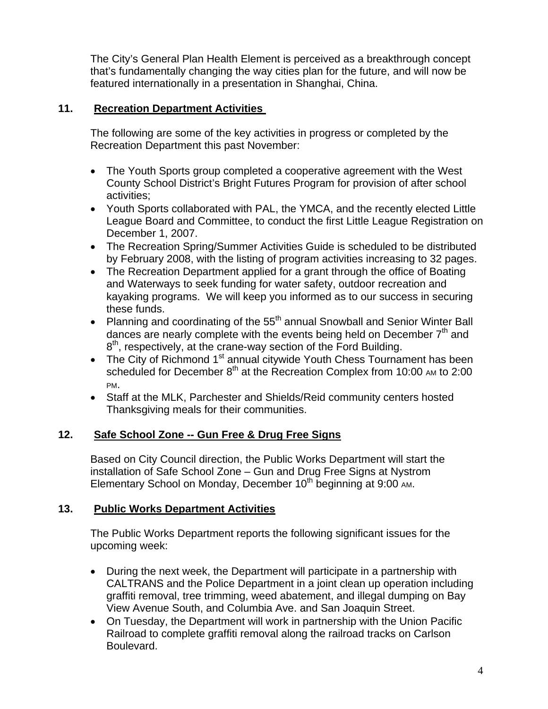The City's General Plan Health Element is perceived as a breakthrough concept that's fundamentally changing the way cities plan for the future, and will now be featured internationally in a presentation in Shanghai, China.

## **11. Recreation Department Activities**

The following are some of the key activities in progress or completed by the Recreation Department this past November:

- The Youth Sports group completed a cooperative agreement with the West County School District's Bright Futures Program for provision of after school activities;
- Youth Sports collaborated with PAL, the YMCA, and the recently elected Little League Board and Committee, to conduct the first Little League Registration on December 1, 2007.
- The Recreation Spring/Summer Activities Guide is scheduled to be distributed by February 2008, with the listing of program activities increasing to 32 pages.
- The Recreation Department applied for a grant through the office of Boating and Waterways to seek funding for water safety, outdoor recreation and kayaking programs. We will keep you informed as to our success in securing these funds.
- Planning and coordinating of the  $55<sup>th</sup>$  annual Snowball and Senior Winter Ball dances are nearly complete with the events being held on December  $7<sup>th</sup>$  and  $8<sup>th</sup>$ , respectively, at the crane-way section of the Ford Building.
- The City of Richmond 1<sup>st</sup> annual citywide Youth Chess Tournament has been scheduled for December  $8<sup>th</sup>$  at the Recreation Complex from 10:00 AM to 2:00 PM.
- Staff at the MLK, Parchester and Shields/Reid community centers hosted Thanksgiving meals for their communities.

# **12. Safe School Zone -- Gun Free & Drug Free Signs**

Based on City Council direction, the Public Works Department will start the installation of Safe School Zone – Gun and Drug Free Signs at Nystrom Elementary School on Monday, December 10<sup>th</sup> beginning at 9:00 AM.

# **13. Public Works Department Activities**

The Public Works Department reports the following significant issues for the upcoming week:

- During the next week, the Department will participate in a partnership with CALTRANS and the Police Department in a joint clean up operation including graffiti removal, tree trimming, weed abatement, and illegal dumping on Bay View Avenue South, and Columbia Ave. and San Joaquin Street.
- On Tuesday, the Department will work in partnership with the Union Pacific Railroad to complete graffiti removal along the railroad tracks on Carlson Boulevard.